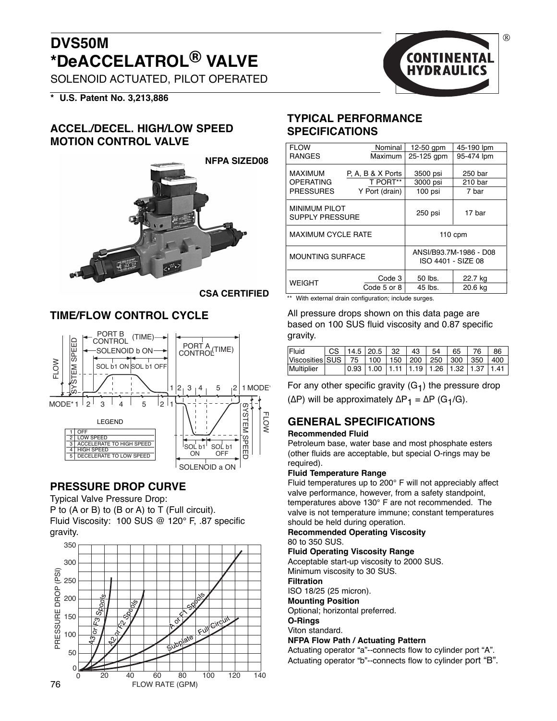## **DVS50M \*DeACCELATROL® VALVE**

SOLENOID ACTUATED, PILOT OPERATED

**\* U.S. Patent No. 3,213,886**

#### **ACCEL./DECEL. HIGH/LOW SPEED MOTION CONTROL VALVE**



**CSA CERTIFIED**

#### **TIME/FLOW CONTROL CYCLE**



#### **PRESSURE DROP CURVE**

Typical Valve Pressure Drop: P to (A or B) to (B or A) to T (Full circuit). Fluid Viscosity: 100 SUS @ 120° F, .87 specific gravity.



# $(R)$ **CONTINENTAL**

#### **TYPICAL PERFORMANCE SPECIFICATIONS**

| <b>FLOW</b>                                    | Nominal           | $12-50$ qpm                                  | 45-190 lpm |  |  |
|------------------------------------------------|-------------------|----------------------------------------------|------------|--|--|
| <b>RANGES</b>                                  | <b>Maximum</b>    | 25-125 gpm                                   | 95-474 lpm |  |  |
| <b>MAXIMUM</b>                                 | P. A. B & X Ports | 3500 psi                                     | 250 bar    |  |  |
| <b>OPERATING</b>                               | T PORT**          | 3000 psi                                     | 210 bar    |  |  |
| <b>PRESSURES</b>                               | Y Port (drain)    | 100 psi                                      | 7 bar      |  |  |
| <b>MINIMUM PILOT</b><br><b>SUPPLY PRESSURE</b> |                   | 250 psi                                      | 17 bar     |  |  |
| <b>MAXIMUM CYCLE RATE</b>                      |                   | $110$ cpm                                    |            |  |  |
| <b>MOUNTING SURFACE</b>                        |                   | ANSI/B93.7M-1986 - D08<br>ISO 4401 - SIZE 08 |            |  |  |
|                                                | Code 3            | 50 lbs.                                      | 22.7 kg    |  |  |
| <b>WEIGHT</b>                                  | Code 5 or 8       | 45 lbs.                                      | 20.6 kg    |  |  |

With external drain configuration; include surges.

All pressure drops shown on this data page are based on 100 SUS fluid viscosity and 0.87 specific gravity.

| Fluid                                                          |  | CS   14.5   20.5   32   43   54   65                                                      |  |  | l 76 | 86 |
|----------------------------------------------------------------|--|-------------------------------------------------------------------------------------------|--|--|------|----|
| Viscosities SUS   75   100   150   200   250   300   350   400 |  |                                                                                           |  |  |      |    |
| Multiplier                                                     |  | $\vert 0.93 \vert 1.00 \vert 1.11 \vert 1.19 \vert 1.26 \vert 1.32 \vert 1.37 \vert 1.41$ |  |  |      |    |

For any other specific gravity  $(G_1)$  the pressure drop ( $ΔP$ ) will be approximately  $ΔP_1 = ΔP (G_1/G)$ .

#### **GENERAL SPECIFICATIONS**

#### **Recommended Fluid**

Petroleum base, water base and most phosphate esters (other fluids are acceptable, but special O-rings may be required).

#### **Fluid Temperature Range**

Fluid temperatures up to 200° F will not appreciably affect valve performance, however, from a safety standpoint, temperatures above 130° F are not recommended. The valve is not temperature immune; constant temperatures should be held during operation.

#### **Recommended Operating Viscosity** 80 to 350 SUS.

**Fluid Operating Viscosity Range**

Acceptable start-up viscosity to 2000 SUS.

Minimum viscosity to 30 SUS.

**Filtration**

ISO 18/25 (25 micron).

**Mounting Position**

Optional; horizontal preferred. **O-Rings**

Viton standard.

#### **NFPA Flow Path / Actuating Pattern**

Actuating operator "a"--connects flow to cylinder port "A". Actuating operator "b"--connects flow to cylinder port "B".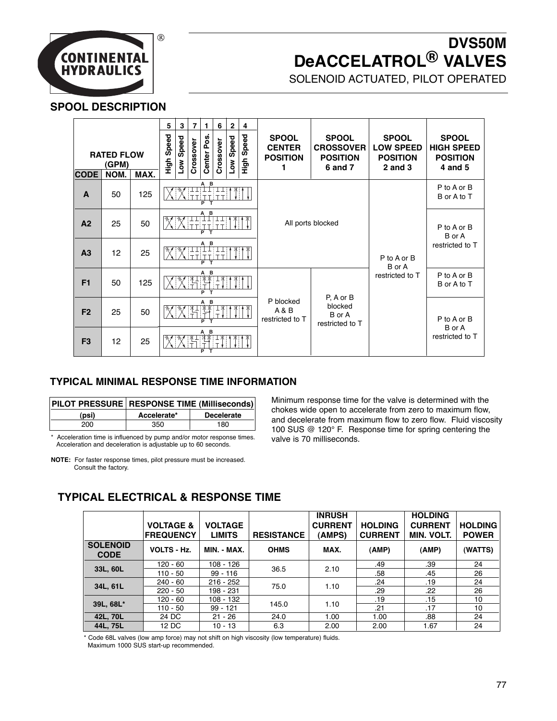

## **DVS50M DeACCELATROL® VALVES**

SOLENOID ACTUATED, PILOT OPERATED

#### **SPOOL DESCRIPTION**

| <b>RATED FLOW</b><br>(GPM)  |            | 5<br>Speed<br>tigh | 3<br>Speed<br>≧ | $\overline{7}$<br>Crossover | 1<br>Center Pos. | 6<br>Crossover | $\mathbf{2}$<br>Low Speed | 4<br>High Speed | <b>SPOOL</b><br><b>CENTER</b><br><b>POSITION</b><br>1 | <b>SPOOL</b><br><b>CROSSOVER</b><br><b>POSITION</b><br>6 and 7 | <b>SPOOL</b><br><b>LOW SPEED</b><br><b>POSITION</b><br>$2$ and $3$ | <b>SPOOL</b><br><b>HIGH SPEED</b><br><b>POSITION</b><br>4 and 5 |                            |
|-----------------------------|------------|--------------------|-----------------|-----------------------------|------------------|----------------|---------------------------|-----------------|-------------------------------------------------------|----------------------------------------------------------------|--------------------------------------------------------------------|-----------------------------------------------------------------|----------------------------|
| <b>CODE</b><br>$\mathbf{A}$ | NOM.<br>50 | MAX.<br>125        | в<br>ΈT.        |                             |                  |                |                           |                 |                                                       |                                                                |                                                                    | P to A or B<br>B or A to T                                      |                            |
| A <sub>2</sub>              | 25         | 50                 | A B<br>Þ        |                             |                  |                |                           |                 |                                                       | All ports blocked                                              |                                                                    | P to A or B<br>B or A                                           |                            |
| A <sub>3</sub>              | 12         | 25                 |                 |                             |                  | A B<br>Þ       |                           |                 |                                                       |                                                                |                                                                    | P to A or B<br>B or A                                           | restricted to T            |
| F1                          | 50         | 125                |                 |                             |                  | в              |                           |                 |                                                       |                                                                |                                                                    | restricted to T<br>P, A or B                                    | P to A or B<br>B or A to T |
| F <sub>2</sub>              | 25         | 50                 |                 |                             |                  | A B            |                           |                 |                                                       | P blocked<br>A & B<br>restricted to T                          | blocked<br>B or A<br>restricted to T                               |                                                                 | P to A or B                |
| F <sub>3</sub>              | 12         | 25                 |                 |                             |                  | P              |                           |                 |                                                       |                                                                |                                                                    |                                                                 | B or A<br>restricted to T  |

#### **TYPICAL MINIMAL RESPONSE TIME INFORMATION**

|       | PILOT PRESSURE RESPONSE TIME (Milliseconds) |                   |  |  |  |
|-------|---------------------------------------------|-------------------|--|--|--|
| (psi) | Accelerate*                                 | <b>Decelerate</b> |  |  |  |
| 200   | 350                                         | 180               |  |  |  |

\* Acceleration time is influenced by pump and/or motor response times. Acceleration and deceleration is adjustable up to 60 seconds.

Minimum response time for the valve is determined with the chokes wide open to accelerate from zero to maximum flow, and decelerate from maximum flow to zero flow. Fluid viscosity 100 SUS @ 120° F. Response time for spring centering the valve is 70 milliseconds.

|                                | <b>VOLTAGE &amp;</b><br><b>FREQUENCY</b> | VOLTAGE<br><b>LIMITS</b> | <b>RESISTANCE</b> | <b>INRUSH</b><br><b>CURRENT</b><br>(AMPS) | <b>HOLDING</b><br><b>CURRENT</b> | <b>HOLDING</b><br><b>CURRENT</b><br><b>MIN. VOLT.</b> | <b>HOLDING</b><br><b>POWER</b> |
|--------------------------------|------------------------------------------|--------------------------|-------------------|-------------------------------------------|----------------------------------|-------------------------------------------------------|--------------------------------|
| <b>SOLENOID</b><br><b>CODE</b> | <b>VOLTS - Hz.</b>                       | MIN. - MAX.              | <b>OHMS</b>       | MAX.                                      | (AMP)                            | (AMP)                                                 | (WATTS)                        |
|                                | $120 - 60$                               | $108 - 126$              |                   | 2.10                                      | .49                              | .39                                                   | 24                             |
| 33L, 60L                       | $110 - 50$                               | $99 - 116$               | 36.5              |                                           | .58                              | .45                                                   | 26                             |
| 34L, 61L                       | $240 - 60$                               | $216 - 252$              |                   | 1.10                                      | .24                              | .19                                                   | 24                             |
|                                | $220 - 50$                               | 198 - 231                | 75.0              |                                           | .29                              | .22                                                   | 26                             |
| 39L, 68L*                      | $120 - 60$                               | $108 - 132$              | 145.0             | 1.10                                      | .19                              | .15                                                   | 10                             |
|                                | $110 - 50$                               | $99 - 121$               |                   |                                           | .21                              | .17                                                   | 10                             |
| 42L, 70L                       | 24 DC                                    | $21 - 26$                | 24.0              | 1.00                                      | 1.00                             | .88                                                   | 24                             |
| 44L, 75L                       | 12 DC                                    | $10 - 13$                | 6.3               | 2.00                                      | 2.00                             | 1.67                                                  | 24                             |

#### **TYPICAL ELECTRICAL & RESPONSE TIME**

\* Code 68L valves (low amp force) may not shift on high viscosity (low temperature) fluids.

**NOTE:** For faster response times, pilot pressure must be increased. Consult the factory.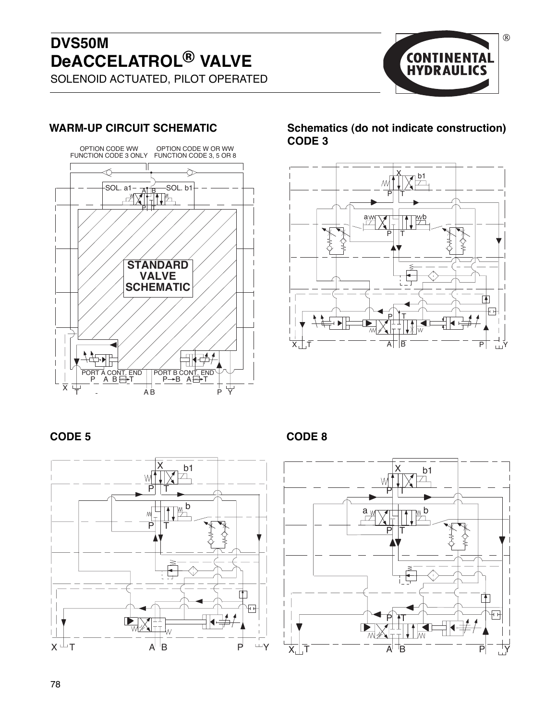## **DVS50M DeACCELATROL® VALVE**



## SOLENOID ACTUATED, PILOT OPERATED



**WARM-UP CIRCUIT SCHEMATIC Schematics (do not indicate construction) CODE 3**



**CODE 5 CODE 8**





 $\circledR$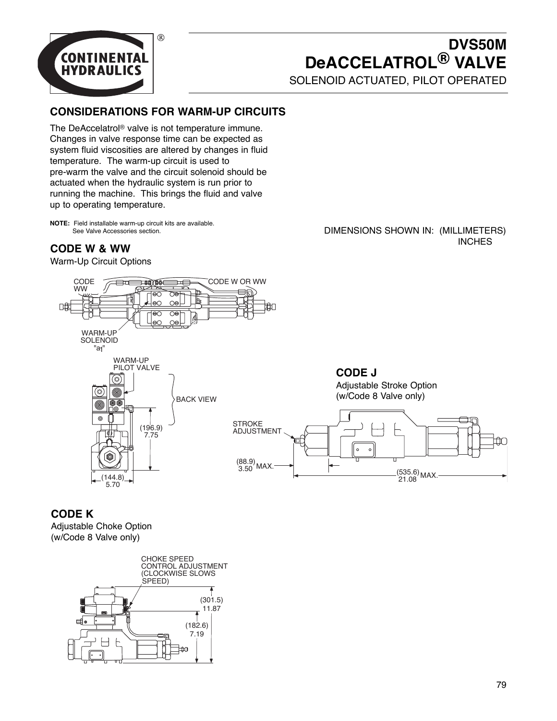

## **DVS50M DeACCELATROL® VALVE**

SOLENOID ACTUATED, PILOT OPERATED

#### **CONSIDERATIONS FOR WARM-UP CIRCUITS**

The DeAccelatrol® valve is not temperature immune. Changes in valve response time can be expected as system fluid viscosities are altered by changes in fluid temperature. The warm-up circuit is used to pre-warm the valve and the circuit solenoid should be actuated when the hydraulic system is run prior to running the machine. This brings the fluid and valve up to operating temperature.

**NOTE:** Field installable warm-up circuit kits are available. See Valve Accessories section.

#### **CODE W & WW**

Warm-Up Circuit Options



DIMENSIONS SHOWN IN: (MILLIMETERS) **INCHES** 

**CODE J** Adjustable Stroke Option (w/Code 8 Valve only)



#### **CODE K**

Adjustable Choke Option (w/Code 8 Valve only)

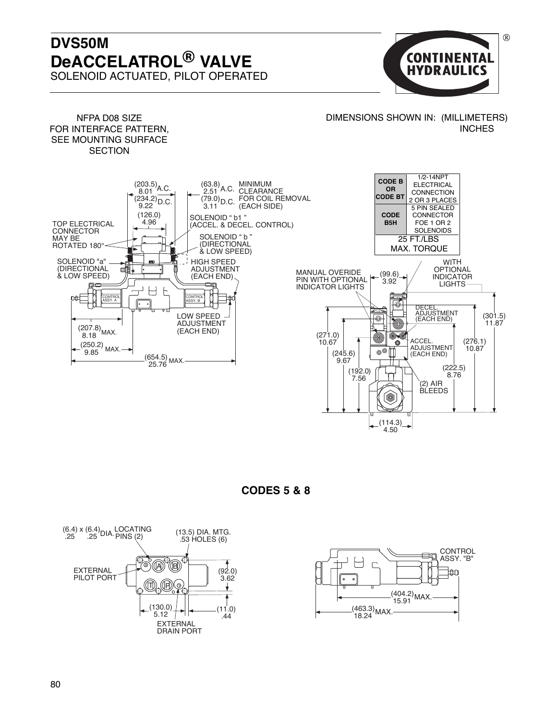### **DVS50M DeACCELATROL® VALVE** SOLENOID ACTUATED, PILOT OPERATED